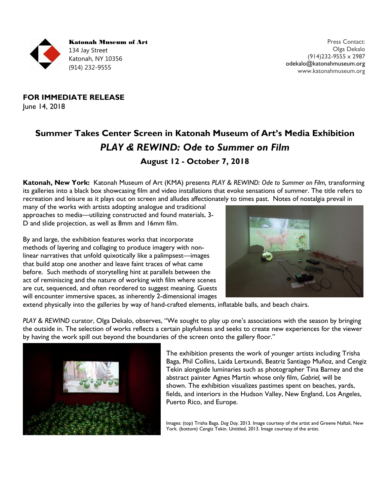

**FOR IMMEDIATE RELEASE** June 14, 2018

# **Summer Takes Center Screen in Katonah Museum of Art's Media Exhibition** *PLAY & REWIND: Ode to Summer on Film* **August 12 - October 7, 2018**

**Katonah, New York:** Katonah Museum of Art (KMA) presents *PLAY & REWIND: Ode to Summer on Film,* transforming its galleries into a black box showcasing film and video installations that evoke sensations of summer. The title refers to recreation and leisure as it plays out on screen and alludes affectionately to times past. Notes of nostalgia prevail in

many of the works with artists adopting analogue and traditional approaches to media—utilizing constructed and found materials, 3- D and slide projection, as well as 8mm and 16mm film.

By and large, the exhibition features works that incorporate methods of layering and collaging to produce imagery with nonlinear narratives that unfold quixotically like a palimpsest—images that build atop one another and leave faint traces of what came before. Such methods of storytelling hint at parallels between the act of reminiscing and the nature of working with film where scenes are cut, sequenced, and often reordered to suggest meaning. Guests will encounter immersive spaces, as inherently 2-dimensional images



extend physically into the galleries by way of hand-crafted elements, inflatable balls, and beach chairs.

*PLAY & REWIND* curator, Olga Dekalo, observes, "We sought to play up one's associations with the season by bringing the outside in. The selection of works reflects a certain playfulness and seeks to create new experiences for the viewer by having the work spill out beyond the boundaries of the screen onto the gallery floor."



The exhibition presents the work of younger artists including Trisha Baga, Phil Collins, Laida Lertxundi, Beatriz Santiago Muñoz, and Cengiz Tekin alongside luminaries such as photographer Tina Barney and the abstract painter Agnes Martin whose only film, *Gabriel,* will be shown. The exhibition visualizes pastimes spent on beaches, yards, fields, and interiors in the Hudson Valley, New England, Los Angeles, Puerto Rico, and Europe.

Images: (top) Trisha Baga. *Dog Day*, 2013. Image courtesy of the artist and Greene Naftali, New York. (bottom) Cengiz Tekin. Untitled, 2013. Image courtesy of the artist.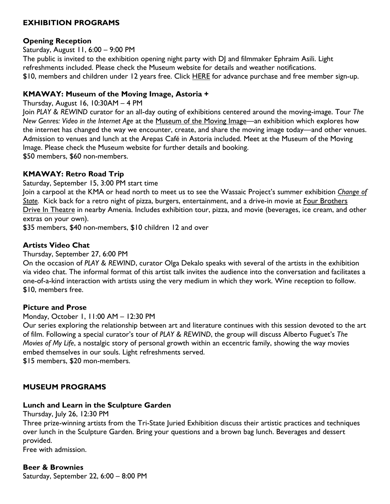# **EXHIBITION PROGRAMS**

#### **Opening Reception**

Saturday, August 11, 6:00 – 9:00 PM

The public is invited to the exhibition opening night party with DJ and filmmaker Ephraim Asili. Light refreshments included. Please check the Museum website for details and weather notifications. \$10, members and children under 12 years free. Click [HERE](https://katonah-museum-of-art-inc.networkforgood.com/events/7191-play-rewind-ode-to-summer-on-film) for advance purchase and free member sign-up.

#### **KMAWAY: Museum of the Moving Image, Astoria +**

Thursday, August 16, 10:30AM – 4 PM

Join *PLAY & REWIND* curator for an all-day outing of exhibitions centered around the moving-image. Tour *The New Genres: Video in the Internet Age* at the [Museum](http://www.movingimage.us/exhibitions/2018/04/27/detail/the-new-genres-video-in-the-internet-age/) of the Moving Image—an exhibition which explores how the internet has changed the way we encounter, create, and share the moving image today—and other venues. Admission to venues and lunch at the Arepas Café in Astoria included. Meet at the Museum of the Moving Image. Please check the Museum website for further details and booking. \$50 members, \$60 non-members.

# **KMAWAY: Retro Road Trip**

Saturday, September 15, 3:00 PM start time

Join a carpool at the KMA or head north to meet us to see the Wassaic Project's summer exhibition *[Change](https://www.wassaicproject.org/events/2018-summer-exhibition) of [State.](https://www.wassaicproject.org/events/2018-summer-exhibition)* Kick back for a retro night of pizza, burgers, entertainment, and a drive-in movie at Four [Brothers](http://playeatdrink.com/) Drive In [Theatre](http://playeatdrink.com/) in nearby Amenia. Includes exhibition tour, pizza, and movie (beverages, ice cream, and other extras on your own).

\$35 members, \$40 non-members, \$10 children 12 and over

# **Artists Video Chat**

Thursday, September 27, 6:00 PM

On the occasion of *PLAY & REWIND*, curator Olga Dekalo speaks with several of the artists in the exhibition via video chat. The informal format of this artist talk invites the audience into the conversation and facilitates a one-of-a-kind interaction with artists using the very medium in which they work. Wine reception to follow. \$10, members free.

#### **Picture and Prose**

Monday, October 1, 11:00 AM – 12:30 PM

Our series exploring the relationship between art and literature continues with this session devoted to the art of film. Following a special curator's tour of *PLAY & REWIND*, the group will discuss Alberto Fuguet's *The Movies of My Life*, a nostalgic story of personal growth within an eccentric family, showing the way movies embed themselves in our souls. Light refreshments served.

\$15 members, \$20 mon-members.

# **MUSEUM PROGRAMS**

# **Lunch and Learn in the Sculpture Garden**

Thursday, July 26, 12:30 PM

Three prize-winning artists from the Tri-State Juried Exhibition discuss their artistic practices and techniques over lunch in the Sculpture Garden. Bring your questions and a brown bag lunch. Beverages and dessert provided.

Free with admission.

# **Beer & Brownies**

Saturday, September 22, 6:00 – 8:00 PM